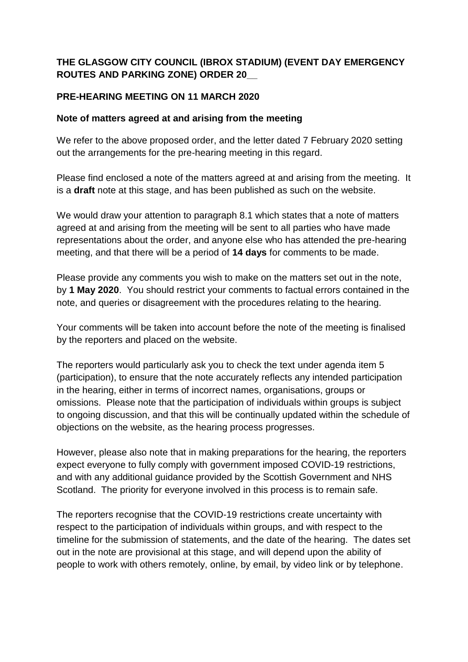## **THE GLASGOW CITY COUNCIL (IBROX STADIUM) (EVENT DAY EMERGENCY ROUTES AND PARKING ZONE) ORDER 20\_\_**

## **PRE-HEARING MEETING ON 11 MARCH 2020**

## **Note of matters agreed at and arising from the meeting**

We refer to the above proposed order, and the letter dated 7 February 2020 setting out the arrangements for the pre-hearing meeting in this regard.

Please find enclosed a note of the matters agreed at and arising from the meeting. It is a **draft** note at this stage, and has been published as such on the website.

We would draw your attention to paragraph 8.1 which states that a note of matters agreed at and arising from the meeting will be sent to all parties who have made representations about the order, and anyone else who has attended the pre-hearing meeting, and that there will be a period of **14 days** for comments to be made.

Please provide any comments you wish to make on the matters set out in the note, by **1 May 2020**. You should restrict your comments to factual errors contained in the note, and queries or disagreement with the procedures relating to the hearing.

Your comments will be taken into account before the note of the meeting is finalised by the reporters and placed on the website.

The reporters would particularly ask you to check the text under agenda item 5 (participation), to ensure that the note accurately reflects any intended participation in the hearing, either in terms of incorrect names, organisations, groups or omissions. Please note that the participation of individuals within groups is subject to ongoing discussion, and that this will be continually updated within the schedule of objections on the website, as the hearing process progresses.

However, please also note that in making preparations for the hearing, the reporters expect everyone to fully comply with government imposed COVID-19 restrictions, and with any additional guidance provided by the Scottish Government and NHS Scotland. The priority for everyone involved in this process is to remain safe.

The reporters recognise that the COVID-19 restrictions create uncertainty with respect to the participation of individuals within groups, and with respect to the timeline for the submission of statements, and the date of the hearing. The dates set out in the note are provisional at this stage, and will depend upon the ability of people to work with others remotely, online, by email, by video link or by telephone.